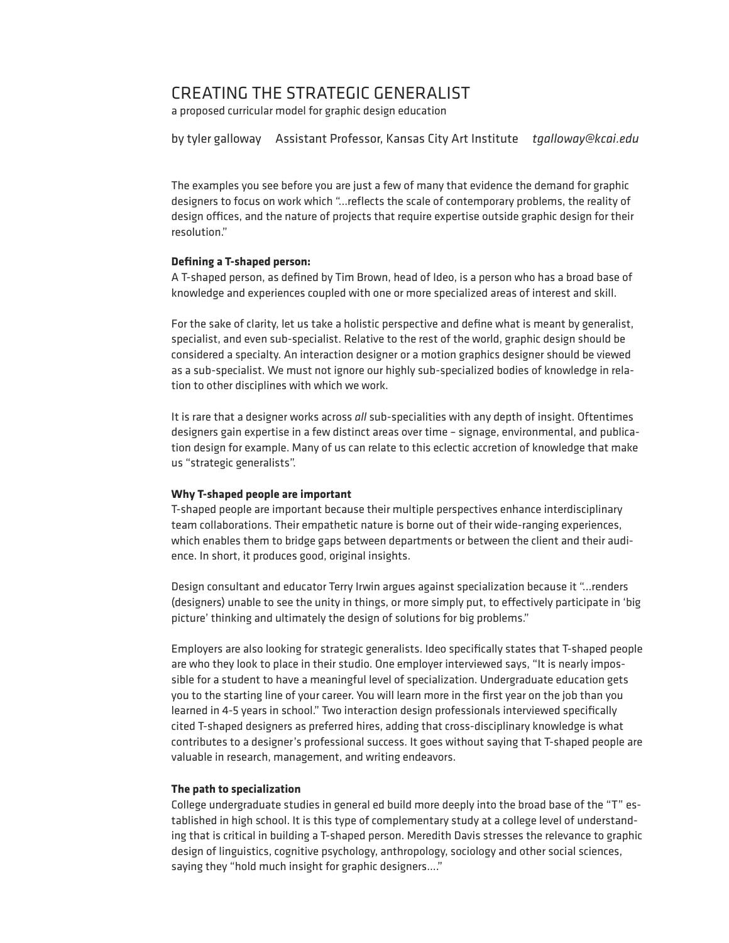# CREATING THE STRATEGIC GENERALIST

a proposed curricular model for graphic design education

by tyler galloway Assistant Professor, Kansas City Art Institute *tgalloway@kcai.edu*

The examples you see before you are just a few of many that evidence the demand for graphic designers to focus on work which "...reflects the scale of contemporary problems, the reality of design offices, and the nature of projects that require expertise outside graphic design for their resolution."

## **Defining a T-shaped person:**

A T-shaped person, as defined by Tim Brown, head of Ideo, is a person who has a broad base of knowledge and experiences coupled with one or more specialized areas of interest and skill.

For the sake of clarity, let us take a holistic perspective and define what is meant by generalist, specialist, and even sub-specialist. Relative to the rest of the world, graphic design should be considered a specialty. An interaction designer or a motion graphics designer should be viewed as a sub-specialist. We must not ignore our highly sub-specialized bodies of knowledge in relation to other disciplines with which we work.

It is rare that a designer works across *all* sub-specialities with any depth of insight. Oftentimes designers gain expertise in a few distinct areas over time – signage, environmental, and publication design for example. Many of us can relate to this eclectic accretion of knowledge that make us "strategic generalists".

### **Why T-shaped people are important**

T-shaped people are important because their multiple perspectives enhance interdisciplinary team collaborations. Their empathetic nature is borne out of their wide-ranging experiences, which enables them to bridge gaps between departments or between the client and their audience. In short, it produces good, original insights.

Design consultant and educator Terry Irwin argues against specialization because it "...renders (designers) unable to see the unity in things, or more simply put, to effectively participate in 'big picture' thinking and ultimately the design of solutions for big problems."

Employers are also looking for strategic generalists. Ideo specifically states that T-shaped people are who they look to place in their studio. One employer interviewed says, "It is nearly impossible for a student to have a meaningful level of specialization. Undergraduate education gets you to the starting line of your career. You will learn more in the first year on the job than you learned in 4-5 years in school." Two interaction design professionals interviewed specifically cited T-shaped designers as preferred hires, adding that cross-disciplinary knowledge is what contributes to a designer's professional success. It goes without saying that T-shaped people are valuable in research, management, and writing endeavors.

### **The path to specialization**

College undergraduate studies in general ed build more deeply into the broad base of the "T" established in high school. It is this type of complementary study at a college level of understanding that is critical in building a T-shaped person. Meredith Davis stresses the relevance to graphic design of linguistics, cognitive psychology, anthropology, sociology and other social sciences, saying they "hold much insight for graphic designers...."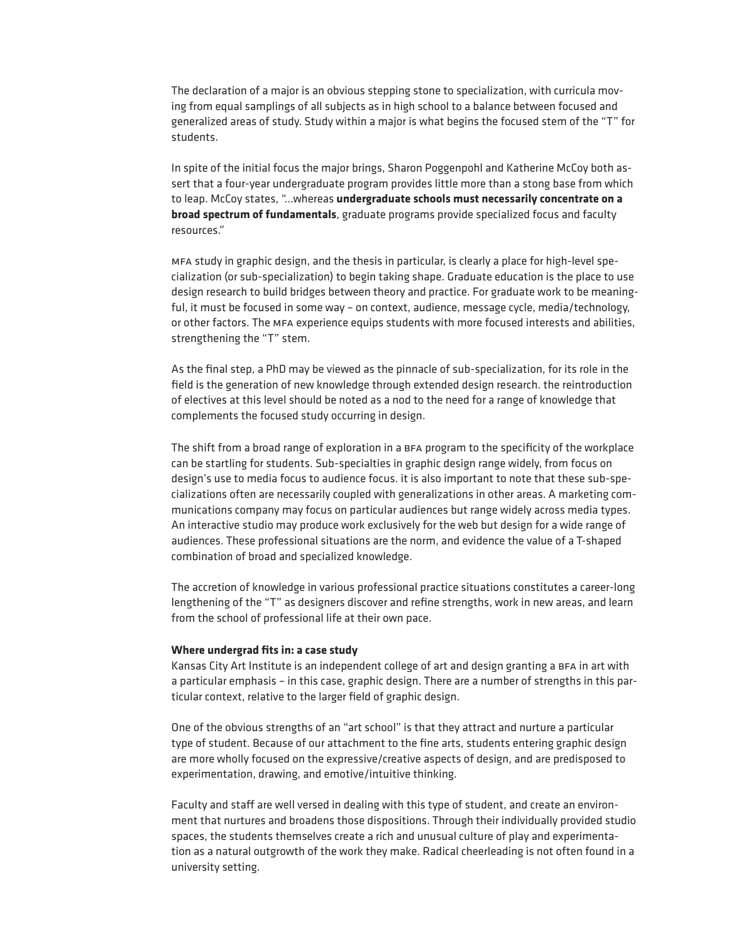The declaration of a major is an obvious stepping stone to specialization, with curricula moving from equal samplings of all subjects as in high school to a balance between focused and generalized areas of study. Study within a major is what begins the focused stem of the "T" for students.

In spite of the initial focus the major brings, Sharon Poggenpohl and Katherine McCoy both assert that a four-year undergraduate program provides little more than a stong base from which to leap. McCoy states, "...whereas **undergraduate schools must necessarily concentrate on a broad spectrum of fundamentals**, graduate programs provide specialized focus and faculty resources."

mfa study in graphic design, and the thesis in particular, is clearly a place for high-level specialization (or sub-specialization) to begin taking shape. Graduate education is the place to use design research to build bridges between theory and practice. For graduate work to be meaningful, it must be focused in some way – on context, audience, message cycle, media/technology, or other factors. The mfa experience equips students with more focused interests and abilities, strengthening the "T" stem.

As the final step, a PhD may be viewed as the pinnacle of sub-specialization, for its role in the field is the generation of new knowledge through extended design research. the reintroduction of electives at this level should be noted as a nod to the need for a range of knowledge that complements the focused study occurring in design.

The shift from a broad range of exploration in a bfa program to the specificity of the workplace can be startling for students. Sub-specialties in graphic design range widely, from focus on design's use to media focus to audience focus. it is also important to note that these sub-specializations often are necessarily coupled with generalizations in other areas. A marketing communications company may focus on particular audiences but range widely across media types. An interactive studio may produce work exclusively for the web but design for a wide range of audiences. These professional situations are the norm, and evidence the value of a T-shaped combination of broad and specialized knowledge.

The accretion of knowledge in various professional practice situations constitutes a career-long lengthening of the "T" as designers discover and refine strengths, work in new areas, and learn from the school of professional life at their own pace.

#### **Where undergrad fits in: a case study**

Kansas City Art Institute is an independent college of art and design granting a BFA in art with a particular emphasis – in this case, graphic design. There are a number of strengths in this particular context, relative to the larger field of graphic design.

One of the obvious strengths of an "art school" is that they attract and nurture a particular type of student. Because of our attachment to the fine arts, students entering graphic design are more wholly focused on the expressive/creative aspects of design, and are predisposed to experimentation, drawing, and emotive/intuitive thinking.

Faculty and staff are well versed in dealing with this type of student, and create an environment that nurtures and broadens those dispositions. Through their individually provided studio spaces, the students themselves create a rich and unusual culture of play and experimentation as a natural outgrowth of the work they make. Radical cheerleading is not often found in a university setting.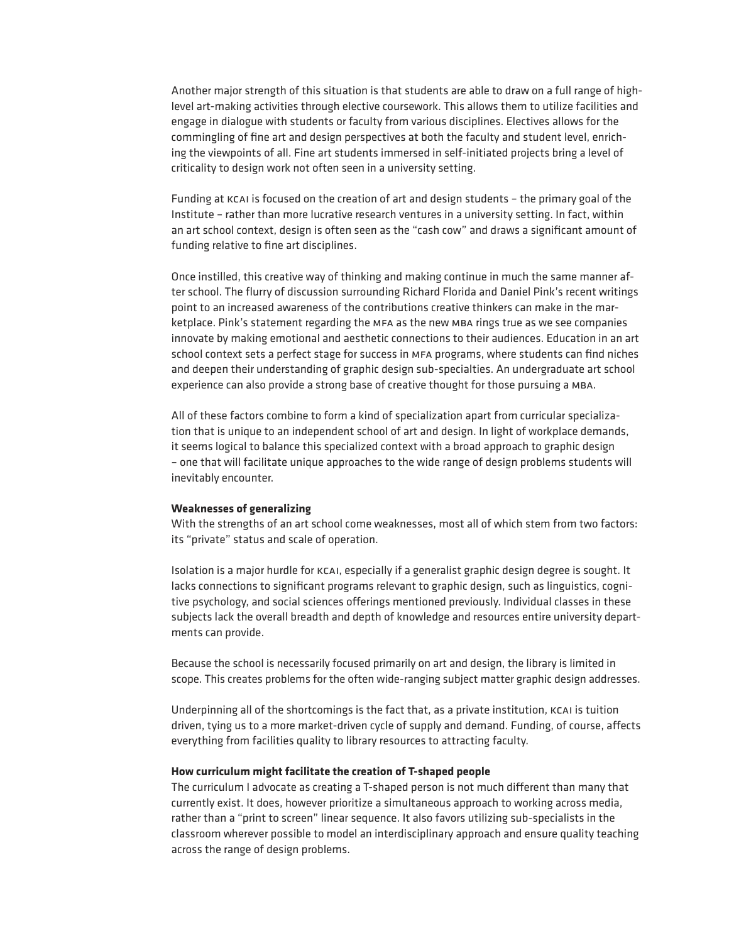Another major strength of this situation is that students are able to draw on a full range of highlevel art-making activities through elective coursework. This allows them to utilize facilities and engage in dialogue with students or faculty from various disciplines. Electives allows for the commingling of fine art and design perspectives at both the faculty and student level, enriching the viewpoints of all. Fine art students immersed in self-initiated projects bring a level of criticality to design work not often seen in a university setting.

Funding at kcai is focused on the creation of art and design students – the primary goal of the Institute – rather than more lucrative research ventures in a university setting. In fact, within an art school context, design is often seen as the "cash cow" and draws a significant amount of funding relative to fine art disciplines.

Once instilled, this creative way of thinking and making continue in much the same manner after school. The flurry of discussion surrounding Richard Florida and Daniel Pink's recent writings point to an increased awareness of the contributions creative thinkers can make in the marketplace. Pink's statement regarding the mfa as the new mba rings true as we see companies innovate by making emotional and aesthetic connections to their audiences. Education in an art school context sets a perfect stage for success in mfa programs, where students can find niches and deepen their understanding of graphic design sub-specialties. An undergraduate art school experience can also provide a strong base of creative thought for those pursuing a mba.

All of these factors combine to form a kind of specialization apart from curricular specialization that is unique to an independent school of art and design. In light of workplace demands, it seems logical to balance this specialized context with a broad approach to graphic design – one that will facilitate unique approaches to the wide range of design problems students will inevitably encounter.

#### **Weaknesses of generalizing**

With the strengths of an art school come weaknesses, most all of which stem from two factors: its "private" status and scale of operation.

Isolation is a major hurdle for kcai, especially if a generalist graphic design degree is sought. It lacks connections to significant programs relevant to graphic design, such as linguistics, cognitive psychology, and social sciences offerings mentioned previously. Individual classes in these subjects lack the overall breadth and depth of knowledge and resources entire university departments can provide.

Because the school is necessarily focused primarily on art and design, the library is limited in scope. This creates problems for the often wide-ranging subject matter graphic design addresses.

Underpinning all of the shortcomings is the fact that, as a private institution, kcai is tuition driven, tying us to a more market-driven cycle of supply and demand. Funding, of course, affects everything from facilities quality to library resources to attracting faculty.

## **How curriculum might facilitate the creation of T-shaped people**

The curriculum I advocate as creating a T-shaped person is not much different than many that currently exist. It does, however prioritize a simultaneous approach to working across media, rather than a "print to screen" linear sequence. It also favors utilizing sub-specialists in the classroom wherever possible to model an interdisciplinary approach and ensure quality teaching across the range of design problems.